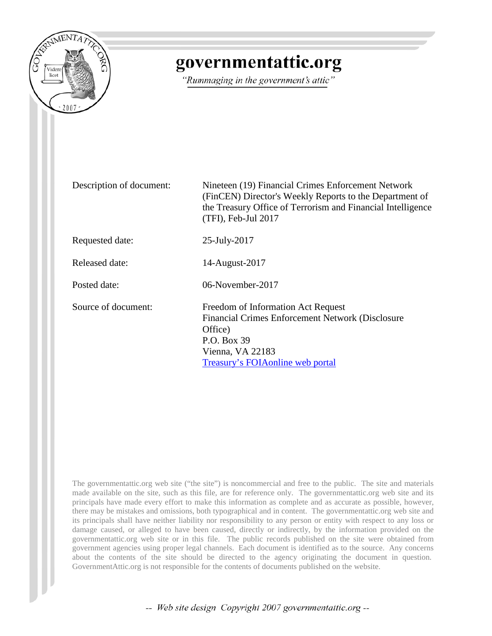

# governmentattic.org

"Rummaging in the government's attic"

Description of document: Nineteen (19) Financial Crimes Enforcement Network (FinCEN) Director's Weekly Reports to the Department of the Treasury Office of Terrorism and Financial Intelligence (TFI), Feb-Jul 2017 Requested date: 25-July-2017 Released date: 14-August-2017 Posted date: 06-November-2017 Source of document: Freedom of Information Act Request Financial Crimes Enforcement Network (Disclosure Office) P.O. Box 39 Vienna, VA 22183 [Treasury's FOIAonline web portal](https://www.treasury.gov/foia/pages/gofoia.aspx)

The governmentattic.org web site ("the site") is noncommercial and free to the public. The site and materials made available on the site, such as this file, are for reference only. The governmentattic.org web site and its principals have made every effort to make this information as complete and as accurate as possible, however, there may be mistakes and omissions, both typographical and in content. The governmentattic.org web site and its principals shall have neither liability nor responsibility to any person or entity with respect to any loss or damage caused, or alleged to have been caused, directly or indirectly, by the information provided on the governmentattic.org web site or in this file. The public records published on the site were obtained from government agencies using proper legal channels. Each document is identified as to the source. Any concerns about the contents of the site should be directed to the agency originating the document in question. GovernmentAttic.org is not responsible for the contents of documents published on the website.

-- Web site design Copyright 2007 governmentattic.org --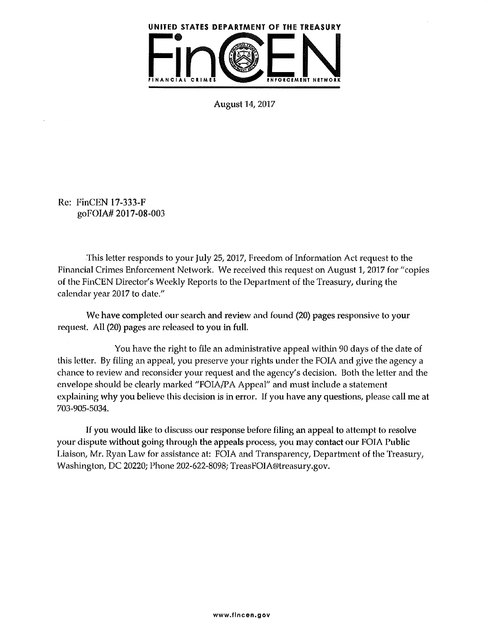

August 14, 2017

Re: FinCEN 17-333-F goFOIA# 2017-08-003

.This letter responds to your July 25, 2017, Freedom of Information Act request to the Financial Crimes Enforcement Network. We received this request on August 1, 2017 for "copies of the FinCEN Director's Weekly Reports to the Department of the Treasury, during the calendar year 2017 to date."

We have completed our search and review and found (20) pages responsive to your request. All (20) pages are released to you in full.

You have the right to file an administrative appeal within 90 days of the date of this letter. By filing an appeal, you preserve your rights under the FOIA and give the agency a chance to review and reconsider your request and the agency's decision. Both the letter and the envelope should be clearly marked "FOIA/PA Appeal" and must include a statement explaining why you believe this decision is in error. If you have any questions, please call me at 703-905-5034.

If you would like to discuss our response before filing an appeal to attempt to resolve your dispute without going through the appeals process, you may contact our FOIA Public Liaison, Mr. Ryan Law for assistance at: FOIA and Transparency, Department of the Treasury, Washington, DC 20220; Phone 202-622-8098; TreasFOIA®treasury.gov.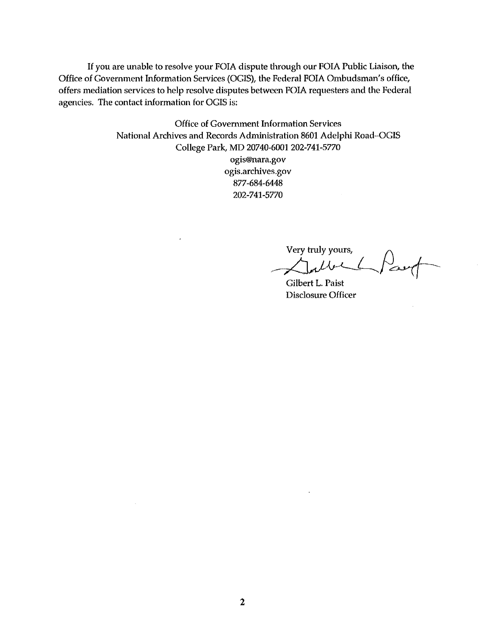If you are unable to resolve your FOIA dispute through our FOIA Public Liaison, the Office of Government Information Services (OGIS), the Federal FOIA Ombudsman's office, offers mediation services to help resolve disputes between FOIA requesters and the Federal agencies. The contact information for OGIS is:

> Office of Government Information Services National Archives and Records Administration 8601 Adelphi Road-OGIS College Park, MD 20740-6001 202-741-5770 ogis@nara.gov ogis.archives.gov 877-684-6448 202-741-5770

Very truly yours,

Gilbert L. Paist Disclosure Officer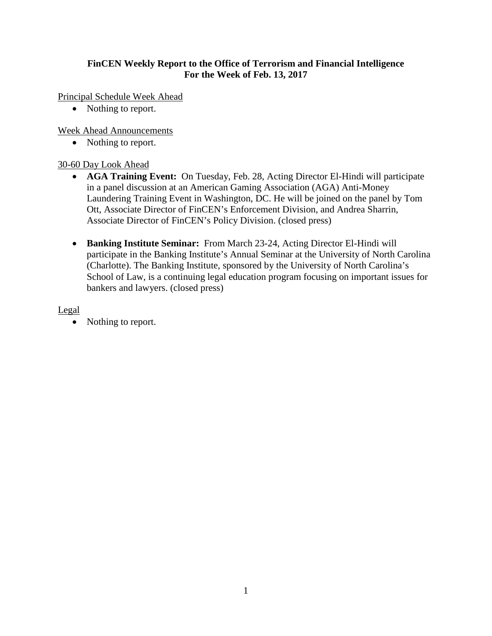# **FinCEN Weekly Report to the Office of Terrorism and Financial Intelligence For the Week of Feb. 13, 2017**

Principal Schedule Week Ahead

• Nothing to report.

Week Ahead Announcements

• Nothing to report.

#### 30-60 Day Look Ahead

- **AGA Training Event:** On Tuesday, Feb. 28, Acting Director El-Hindi will participate in a panel discussion at an American Gaming Association (AGA) Anti-Money Laundering Training Event in Washington, DC. He will be joined on the panel by Tom Ott, Associate Director of FinCEN's Enforcement Division, and Andrea Sharrin, Associate Director of FinCEN's Policy Division. (closed press)
- **Banking Institute Seminar:** From March 23-24, Acting Director El-Hindi will participate in the Banking Institute's Annual Seminar at the University of North Carolina (Charlotte). The Banking Institute, sponsored by the University of North Carolina's School of Law, is a continuing legal education program focusing on important issues for bankers and lawyers. (closed press)

Legal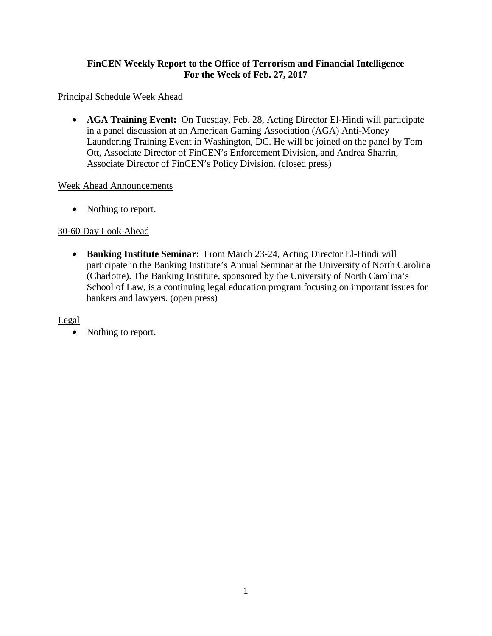# **FinCEN Weekly Report to the Office of Terrorism and Financial Intelligence For the Week of Feb. 27, 2017**

#### Principal Schedule Week Ahead

• **AGA Training Event:** On Tuesday, Feb. 28, Acting Director El-Hindi will participate in a panel discussion at an American Gaming Association (AGA) Anti-Money Laundering Training Event in Washington, DC. He will be joined on the panel by Tom Ott, Associate Director of FinCEN's Enforcement Division, and Andrea Sharrin, Associate Director of FinCEN's Policy Division. (closed press)

#### Week Ahead Announcements

• Nothing to report.

#### 30-60 Day Look Ahead

• **Banking Institute Seminar:** From March 23-24, Acting Director El-Hindi will participate in the Banking Institute's Annual Seminar at the University of North Carolina (Charlotte). The Banking Institute, sponsored by the University of North Carolina's School of Law, is a continuing legal education program focusing on important issues for bankers and lawyers. (open press)

Legal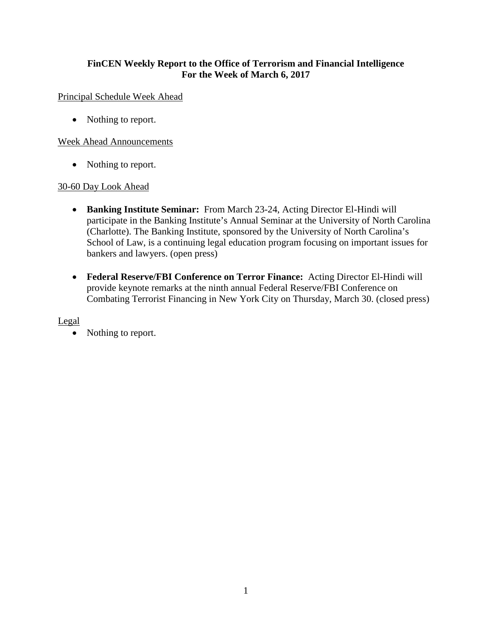# **FinCEN Weekly Report to the Office of Terrorism and Financial Intelligence For the Week of March 6, 2017**

#### Principal Schedule Week Ahead

• Nothing to report.

#### Week Ahead Announcements

• Nothing to report.

#### 30-60 Day Look Ahead

- **Banking Institute Seminar:** From March 23-24, Acting Director El-Hindi will participate in the Banking Institute's Annual Seminar at the University of North Carolina (Charlotte). The Banking Institute, sponsored by the University of North Carolina's School of Law, is a continuing legal education program focusing on important issues for bankers and lawyers. (open press)
- **Federal Reserve/FBI Conference on Terror Finance:** Acting Director El-Hindi will provide keynote remarks at the ninth annual Federal Reserve/FBI Conference on Combating Terrorist Financing in New York City on Thursday, March 30. (closed press)

#### Legal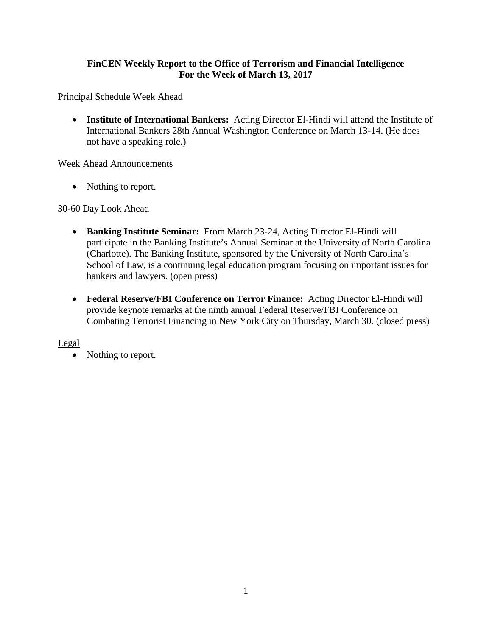# **FinCEN Weekly Report to the Office of Terrorism and Financial Intelligence For the Week of March 13, 2017**

# Principal Schedule Week Ahead

• **Institute of International Bankers:** Acting Director El-Hindi will attend the Institute of International Bankers 28th Annual Washington Conference on March 13-14. (He does not have a speaking role.)

# Week Ahead Announcements

• Nothing to report.

# 30-60 Day Look Ahead

- **Banking Institute Seminar:** From March 23-24, Acting Director El-Hindi will participate in the Banking Institute's Annual Seminar at the University of North Carolina (Charlotte). The Banking Institute, sponsored by the University of North Carolina's School of Law, is a continuing legal education program focusing on important issues for bankers and lawyers. (open press)
- **Federal Reserve/FBI Conference on Terror Finance:** Acting Director El-Hindi will provide keynote remarks at the ninth annual Federal Reserve/FBI Conference on Combating Terrorist Financing in New York City on Thursday, March 30. (closed press)

# Legal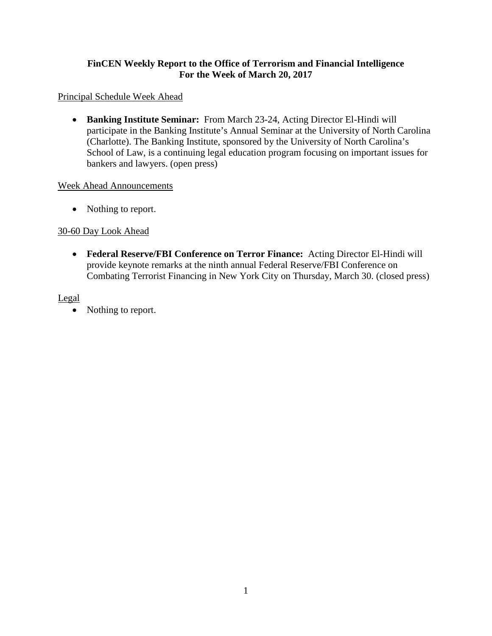# **FinCEN Weekly Report to the Office of Terrorism and Financial Intelligence For the Week of March 20, 2017**

#### Principal Schedule Week Ahead

• **Banking Institute Seminar:** From March 23-24, Acting Director El-Hindi will participate in the Banking Institute's Annual Seminar at the University of North Carolina (Charlotte). The Banking Institute, sponsored by the University of North Carolina's School of Law, is a continuing legal education program focusing on important issues for bankers and lawyers. (open press)

#### Week Ahead Announcements

• Nothing to report.

# 30-60 Day Look Ahead

• **Federal Reserve/FBI Conference on Terror Finance:** Acting Director El-Hindi will provide keynote remarks at the ninth annual Federal Reserve/FBI Conference on Combating Terrorist Financing in New York City on Thursday, March 30. (closed press)

# Legal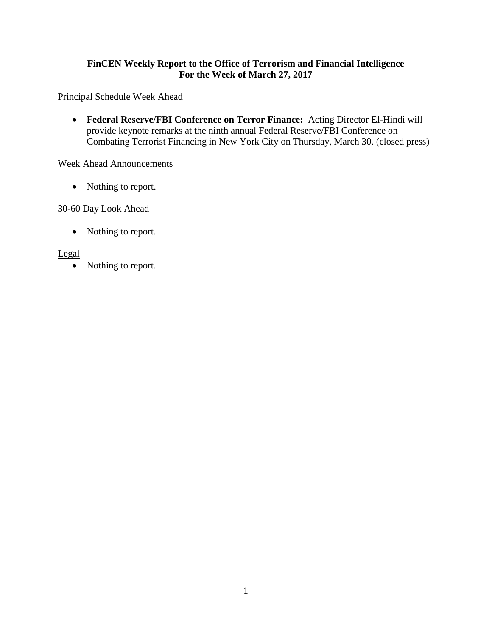# **FinCEN Weekly Report to the Office of Terrorism and Financial Intelligence For the Week of March 27, 2017**

#### Principal Schedule Week Ahead

• **Federal Reserve/FBI Conference on Terror Finance:** Acting Director El-Hindi will provide keynote remarks at the ninth annual Federal Reserve/FBI Conference on Combating Terrorist Financing in New York City on Thursday, March 30. (closed press)

#### Week Ahead Announcements

• Nothing to report.

# 30-60 Day Look Ahead

• Nothing to report.

#### Legal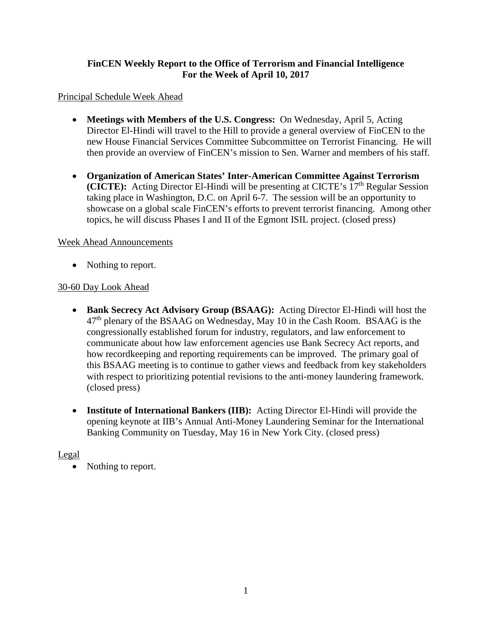# **FinCEN Weekly Report to the Office of Terrorism and Financial Intelligence For the Week of April 10, 2017**

#### Principal Schedule Week Ahead

- **Meetings with Members of the U.S. Congress:** On Wednesday, April 5, Acting Director El-Hindi will travel to the Hill to provide a general overview of FinCEN to the new House Financial Services Committee Subcommittee on Terrorist Financing. He will then provide an overview of FinCEN's mission to Sen. Warner and members of his staff.
- **Organization of American States' Inter-American Committee Against Terrorism (CICTE):** Acting Director El-Hindi will be presenting at CICTE's 17<sup>th</sup> Regular Session taking place in Washington, D.C. on April 6-7. The session will be an opportunity to showcase on a global scale FinCEN's efforts to prevent terrorist financing. Among other topics, he will discuss Phases I and II of the Egmont ISIL project. (closed press)

#### Week Ahead Announcements

• Nothing to report.

# 30-60 Day Look Ahead

- **Bank Secrecy Act Advisory Group (BSAAG):** Acting Director El-Hindi will host the  $47<sup>th</sup>$  plenary of the BSAAG on Wednesday, May 10 in the Cash Room. BSAAG is the congressionally established forum for industry, regulators, and law enforcement to communicate about how law enforcement agencies use Bank Secrecy Act reports, and how recordkeeping and reporting requirements can be improved. The primary goal of this BSAAG meeting is to continue to gather views and feedback from key stakeholders with respect to prioritizing potential revisions to the anti-money laundering framework. (closed press)
- **Institute of International Bankers (IIB):** Acting Director El-Hindi will provide the opening keynote at IIB's Annual Anti-Money Laundering Seminar for the International Banking Community on Tuesday, May 16 in New York City. (closed press)

#### Legal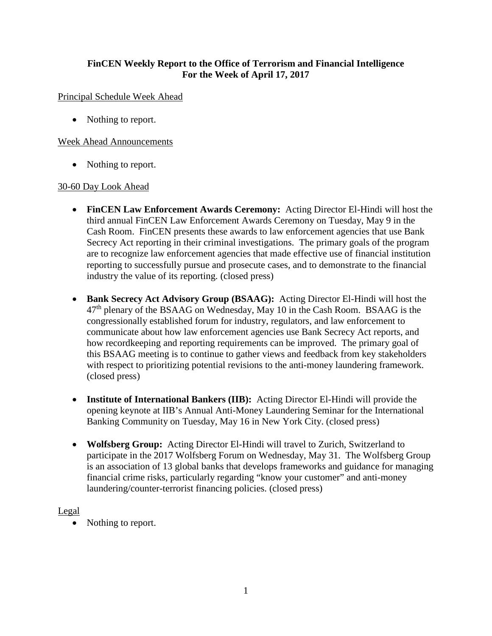# **FinCEN Weekly Report to the Office of Terrorism and Financial Intelligence For the Week of April 17, 2017**

#### Principal Schedule Week Ahead

• Nothing to report.

#### Week Ahead Announcements

• Nothing to report.

#### 30-60 Day Look Ahead

- **FinCEN Law Enforcement Awards Ceremony:** Acting Director El-Hindi will host the third annual FinCEN Law Enforcement Awards Ceremony on Tuesday, May 9 in the Cash Room. FinCEN presents these awards to law enforcement agencies that use Bank Secrecy Act reporting in their criminal investigations. The primary goals of the program are to recognize law enforcement agencies that made effective use of financial institution reporting to successfully pursue and prosecute cases, and to demonstrate to the financial industry the value of its reporting. (closed press)
- **Bank Secrecy Act Advisory Group (BSAAG):** Acting Director El-Hindi will host the 47th plenary of the BSAAG on Wednesday, May 10 in the Cash Room. BSAAG is the congressionally established forum for industry, regulators, and law enforcement to communicate about how law enforcement agencies use Bank Secrecy Act reports, and how recordkeeping and reporting requirements can be improved. The primary goal of this BSAAG meeting is to continue to gather views and feedback from key stakeholders with respect to prioritizing potential revisions to the anti-money laundering framework. (closed press)
- **Institute of International Bankers (IIB):** Acting Director El-Hindi will provide the opening keynote at IIB's Annual Anti-Money Laundering Seminar for the International Banking Community on Tuesday, May 16 in New York City. (closed press)
- **Wolfsberg Group:** Acting Director El-Hindi will travel to Zurich, Switzerland to participate in the 2017 Wolfsberg Forum on Wednesday, May 31. The Wolfsberg Group is an association of 13 global banks that develops frameworks and guidance for managing financial crime risks, particularly regarding "know your customer" and anti-money laundering/counter-terrorist financing policies. (closed press)

# Legal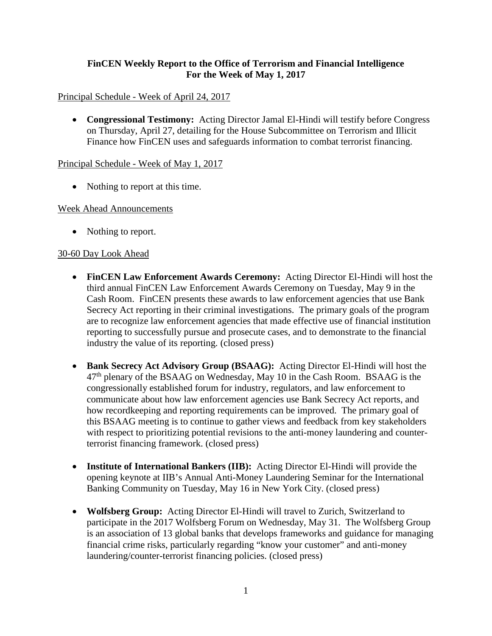#### **FinCEN Weekly Report to the Office of Terrorism and Financial Intelligence For the Week of May 1, 2017**

#### Principal Schedule - Week of April 24, 2017

• **Congressional Testimony:** Acting Director Jamal El-Hindi will testify before Congress on Thursday, April 27, detailing for the House Subcommittee on Terrorism and Illicit Finance how FinCEN uses and safeguards information to combat terrorist financing.

#### Principal Schedule - Week of May 1, 2017

• Nothing to report at this time.

#### Week Ahead Announcements

• Nothing to report.

#### 30-60 Day Look Ahead

- **FinCEN Law Enforcement Awards Ceremony:** Acting Director El-Hindi will host the third annual FinCEN Law Enforcement Awards Ceremony on Tuesday, May 9 in the Cash Room. FinCEN presents these awards to law enforcement agencies that use Bank Secrecy Act reporting in their criminal investigations. The primary goals of the program are to recognize law enforcement agencies that made effective use of financial institution reporting to successfully pursue and prosecute cases, and to demonstrate to the financial industry the value of its reporting. (closed press)
- **Bank Secrecy Act Advisory Group (BSAAG):** Acting Director El-Hindi will host the 47th plenary of the BSAAG on Wednesday, May 10 in the Cash Room. BSAAG is the congressionally established forum for industry, regulators, and law enforcement to communicate about how law enforcement agencies use Bank Secrecy Act reports, and how recordkeeping and reporting requirements can be improved. The primary goal of this BSAAG meeting is to continue to gather views and feedback from key stakeholders with respect to prioritizing potential revisions to the anti-money laundering and counterterrorist financing framework. (closed press)
- **Institute of International Bankers (IIB):** Acting Director El-Hindi will provide the opening keynote at IIB's Annual Anti-Money Laundering Seminar for the International Banking Community on Tuesday, May 16 in New York City. (closed press)
- **Wolfsberg Group:** Acting Director El-Hindi will travel to Zurich, Switzerland to participate in the 2017 Wolfsberg Forum on Wednesday, May 31. The Wolfsberg Group is an association of 13 global banks that develops frameworks and guidance for managing financial crime risks, particularly regarding "know your customer" and anti-money laundering/counter-terrorist financing policies. (closed press)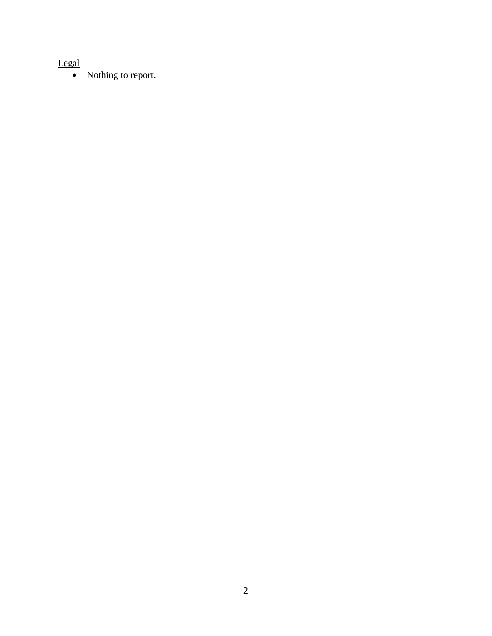# Legal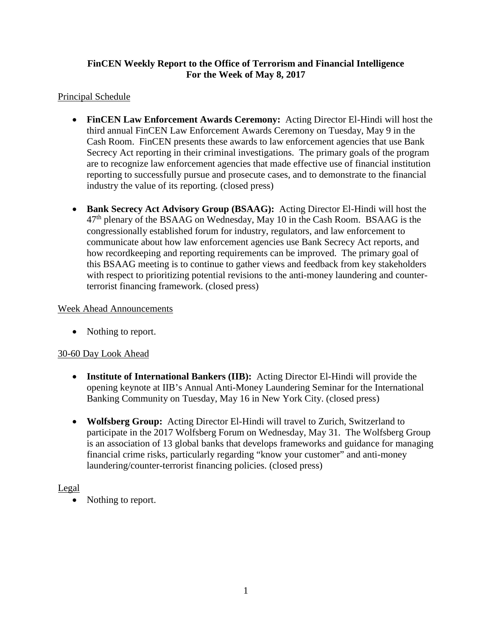# **FinCEN Weekly Report to the Office of Terrorism and Financial Intelligence For the Week of May 8, 2017**

# Principal Schedule

- **FinCEN Law Enforcement Awards Ceremony:** Acting Director El-Hindi will host the third annual FinCEN Law Enforcement Awards Ceremony on Tuesday, May 9 in the Cash Room. FinCEN presents these awards to law enforcement agencies that use Bank Secrecy Act reporting in their criminal investigations. The primary goals of the program are to recognize law enforcement agencies that made effective use of financial institution reporting to successfully pursue and prosecute cases, and to demonstrate to the financial industry the value of its reporting. (closed press)
- **Bank Secrecy Act Advisory Group (BSAAG):** Acting Director El-Hindi will host the  $47<sup>th</sup>$  plenary of the BSAAG on Wednesday, May 10 in the Cash Room. BSAAG is the congressionally established forum for industry, regulators, and law enforcement to communicate about how law enforcement agencies use Bank Secrecy Act reports, and how recordkeeping and reporting requirements can be improved. The primary goal of this BSAAG meeting is to continue to gather views and feedback from key stakeholders with respect to prioritizing potential revisions to the anti-money laundering and counterterrorist financing framework. (closed press)

#### Week Ahead Announcements

• Nothing to report.

# 30-60 Day Look Ahead

- **Institute of International Bankers (IIB):** Acting Director El-Hindi will provide the opening keynote at IIB's Annual Anti-Money Laundering Seminar for the International Banking Community on Tuesday, May 16 in New York City. (closed press)
- **Wolfsberg Group:** Acting Director El-Hindi will travel to Zurich, Switzerland to participate in the 2017 Wolfsberg Forum on Wednesday, May 31. The Wolfsberg Group is an association of 13 global banks that develops frameworks and guidance for managing financial crime risks, particularly regarding "know your customer" and anti-money laundering/counter-terrorist financing policies. (closed press)

# Legal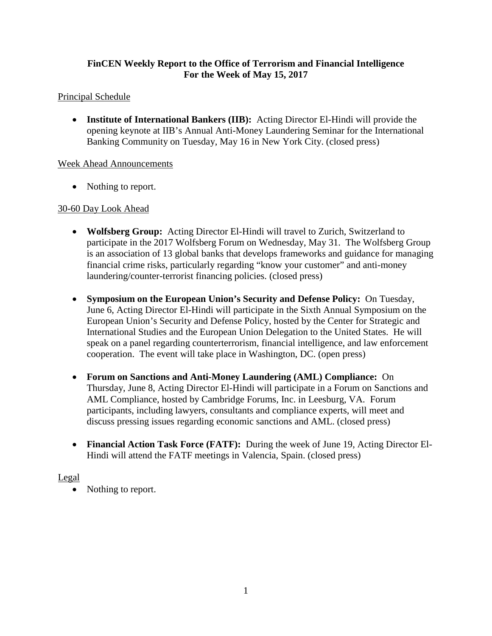# **FinCEN Weekly Report to the Office of Terrorism and Financial Intelligence For the Week of May 15, 2017**

#### Principal Schedule

• **Institute of International Bankers (IIB):** Acting Director El-Hindi will provide the opening keynote at IIB's Annual Anti-Money Laundering Seminar for the International Banking Community on Tuesday, May 16 in New York City. (closed press)

#### Week Ahead Announcements

• Nothing to report.

# 30-60 Day Look Ahead

- **Wolfsberg Group:** Acting Director El-Hindi will travel to Zurich, Switzerland to participate in the 2017 Wolfsberg Forum on Wednesday, May 31. The Wolfsberg Group is an association of 13 global banks that develops frameworks and guidance for managing financial crime risks, particularly regarding "know your customer" and anti-money laundering/counter-terrorist financing policies. (closed press)
- **Symposium on the European Union's Security and Defense Policy:** On Tuesday, June 6, Acting Director El-Hindi will participate in the Sixth Annual Symposium on the European Union's Security and Defense Policy, hosted by the Center for Strategic and International Studies and the European Union Delegation to the United States. He will speak on a panel regarding counterterrorism, financial intelligence, and law enforcement cooperation. The event will take place in Washington, DC. (open press)
- **Forum on Sanctions and Anti-Money Laundering (AML) Compliance:** On Thursday, June 8, Acting Director El-Hindi will participate in a Forum on Sanctions and AML Compliance, hosted by Cambridge Forums, Inc. in Leesburg, VA. Forum participants, including lawyers, consultants and compliance experts, will meet and discuss pressing issues regarding economic sanctions and AML. (closed press)
- **Financial Action Task Force (FATF):** During the week of June 19, Acting Director El-Hindi will attend the FATF meetings in Valencia, Spain. (closed press)

#### Legal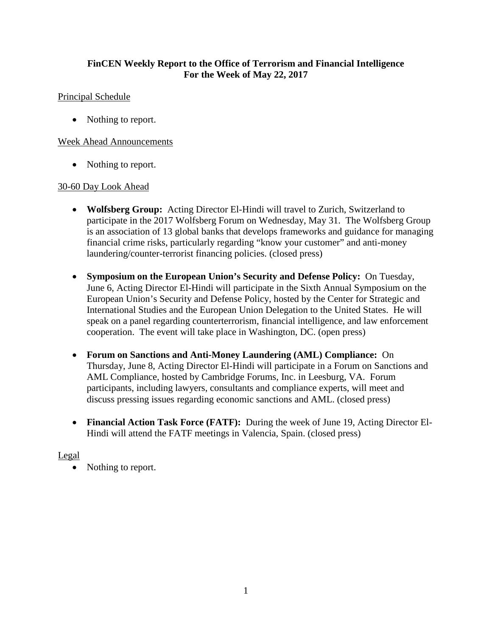#### **FinCEN Weekly Report to the Office of Terrorism and Financial Intelligence For the Week of May 22, 2017**

#### Principal Schedule

• Nothing to report.

#### Week Ahead Announcements

• Nothing to report.

#### 30-60 Day Look Ahead

- **Wolfsberg Group:** Acting Director El-Hindi will travel to Zurich, Switzerland to participate in the 2017 Wolfsberg Forum on Wednesday, May 31. The Wolfsberg Group is an association of 13 global banks that develops frameworks and guidance for managing financial crime risks, particularly regarding "know your customer" and anti-money laundering/counter-terrorist financing policies. (closed press)
- **Symposium on the European Union's Security and Defense Policy:** On Tuesday, June 6, Acting Director El-Hindi will participate in the Sixth Annual Symposium on the European Union's Security and Defense Policy, hosted by the Center for Strategic and International Studies and the European Union Delegation to the United States. He will speak on a panel regarding counterterrorism, financial intelligence, and law enforcement cooperation. The event will take place in Washington, DC. (open press)
- **Forum on Sanctions and Anti-Money Laundering (AML) Compliance:** On Thursday, June 8, Acting Director El-Hindi will participate in a Forum on Sanctions and AML Compliance, hosted by Cambridge Forums, Inc. in Leesburg, VA. Forum participants, including lawyers, consultants and compliance experts, will meet and discuss pressing issues regarding economic sanctions and AML. (closed press)
- **Financial Action Task Force (FATF):** During the week of June 19, Acting Director El-Hindi will attend the FATF meetings in Valencia, Spain. (closed press)

#### Legal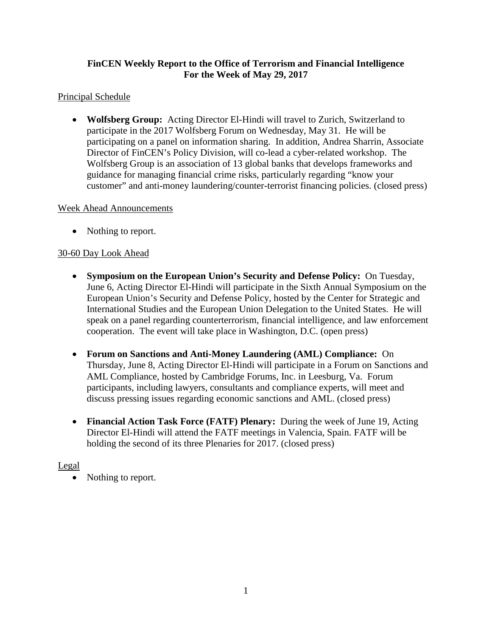# **FinCEN Weekly Report to the Office of Terrorism and Financial Intelligence For the Week of May 29, 2017**

# Principal Schedule

• **Wolfsberg Group:** Acting Director El-Hindi will travel to Zurich, Switzerland to participate in the 2017 Wolfsberg Forum on Wednesday, May 31. He will be participating on a panel on information sharing. In addition, Andrea Sharrin, Associate Director of FinCEN's Policy Division, will co-lead a cyber-related workshop. The Wolfsberg Group is an association of 13 global banks that develops frameworks and guidance for managing financial crime risks, particularly regarding "know your customer" and anti-money laundering/counter-terrorist financing policies. (closed press)

# Week Ahead Announcements

• Nothing to report.

# 30-60 Day Look Ahead

- **Symposium on the European Union's Security and Defense Policy:** On Tuesday, June 6, Acting Director El-Hindi will participate in the Sixth Annual Symposium on the European Union's Security and Defense Policy, hosted by the Center for Strategic and International Studies and the European Union Delegation to the United States. He will speak on a panel regarding counterterrorism, financial intelligence, and law enforcement cooperation. The event will take place in Washington, D.C. (open press)
- **Forum on Sanctions and Anti-Money Laundering (AML) Compliance:** On Thursday, June 8, Acting Director El-Hindi will participate in a Forum on Sanctions and AML Compliance, hosted by Cambridge Forums, Inc. in Leesburg, Va. Forum participants, including lawyers, consultants and compliance experts, will meet and discuss pressing issues regarding economic sanctions and AML. (closed press)
- **Financial Action Task Force (FATF) Plenary:** During the week of June 19, Acting Director El-Hindi will attend the FATF meetings in Valencia, Spain. FATF will be holding the second of its three Plenaries for 2017. (closed press)

# Legal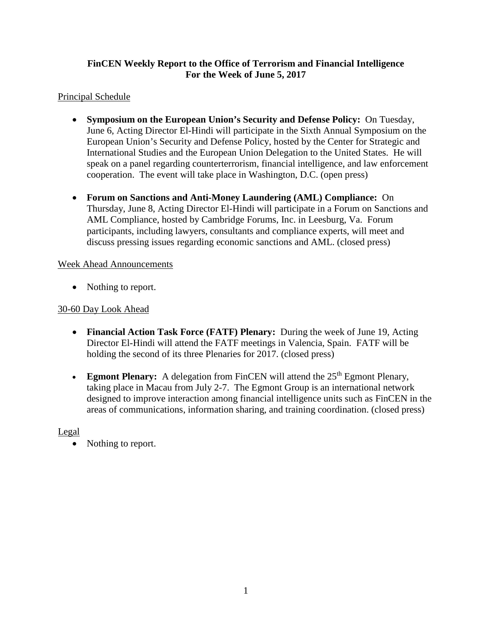# **FinCEN Weekly Report to the Office of Terrorism and Financial Intelligence For the Week of June 5, 2017**

#### Principal Schedule

- **Symposium on the European Union's Security and Defense Policy:** On Tuesday, June 6, Acting Director El-Hindi will participate in the Sixth Annual Symposium on the European Union's Security and Defense Policy, hosted by the Center for Strategic and International Studies and the European Union Delegation to the United States. He will speak on a panel regarding counterterrorism, financial intelligence, and law enforcement cooperation. The event will take place in Washington, D.C. (open press)
- **Forum on Sanctions and Anti-Money Laundering (AML) Compliance:** On Thursday, June 8, Acting Director El-Hindi will participate in a Forum on Sanctions and AML Compliance, hosted by Cambridge Forums, Inc. in Leesburg, Va. Forum participants, including lawyers, consultants and compliance experts, will meet and discuss pressing issues regarding economic sanctions and AML. (closed press)

#### Week Ahead Announcements

• Nothing to report.

#### 30-60 Day Look Ahead

- **Financial Action Task Force (FATF) Plenary:** During the week of June 19, Acting Director El-Hindi will attend the FATF meetings in Valencia, Spain. FATF will be holding the second of its three Plenaries for 2017. (closed press)
- **Egmont Plenary:** A delegation from FinCEN will attend the 25<sup>th</sup> Egmont Plenary, taking place in Macau from July 2-7. The Egmont Group is an international network designed to improve interaction among financial intelligence units such as FinCEN in the areas of communications, information sharing, and training coordination. (closed press)

#### Legal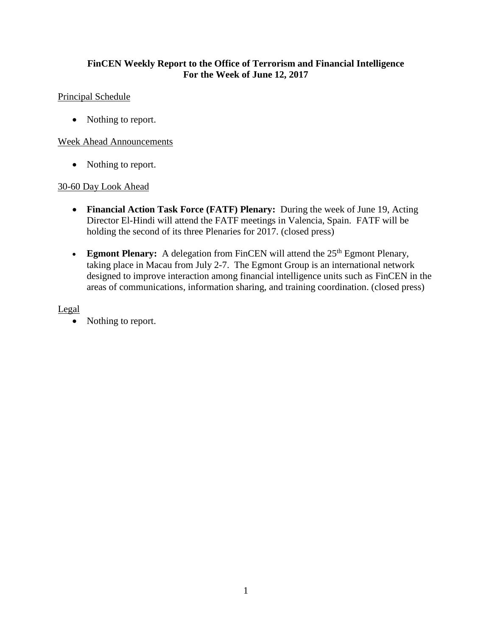#### **FinCEN Weekly Report to the Office of Terrorism and Financial Intelligence For the Week of June 12, 2017**

#### Principal Schedule

• Nothing to report.

#### Week Ahead Announcements

• Nothing to report.

#### 30-60 Day Look Ahead

- **Financial Action Task Force (FATF) Plenary:** During the week of June 19, Acting Director El-Hindi will attend the FATF meetings in Valencia, Spain. FATF will be holding the second of its three Plenaries for 2017. (closed press)
- **Egmont Plenary:** A delegation from FinCEN will attend the 25<sup>th</sup> Egmont Plenary, taking place in Macau from July 2-7. The Egmont Group is an international network designed to improve interaction among financial intelligence units such as FinCEN in the areas of communications, information sharing, and training coordination. (closed press)

Legal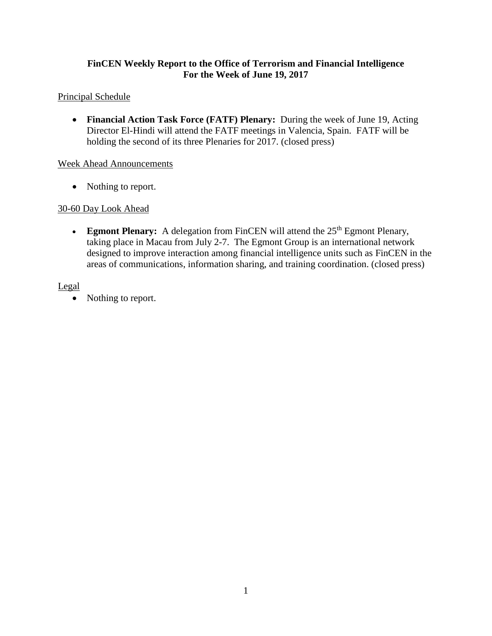#### **FinCEN Weekly Report to the Office of Terrorism and Financial Intelligence For the Week of June 19, 2017**

#### Principal Schedule

• **Financial Action Task Force (FATF) Plenary:** During the week of June 19, Acting Director El-Hindi will attend the FATF meetings in Valencia, Spain. FATF will be holding the second of its three Plenaries for 2017. (closed press)

#### Week Ahead Announcements

• Nothing to report.

# 30-60 Day Look Ahead

• **Egmont Plenary:** A delegation from FinCEN will attend the 25<sup>th</sup> Egmont Plenary, taking place in Macau from July 2-7. The Egmont Group is an international network designed to improve interaction among financial intelligence units such as FinCEN in the areas of communications, information sharing, and training coordination. (closed press)

#### Legal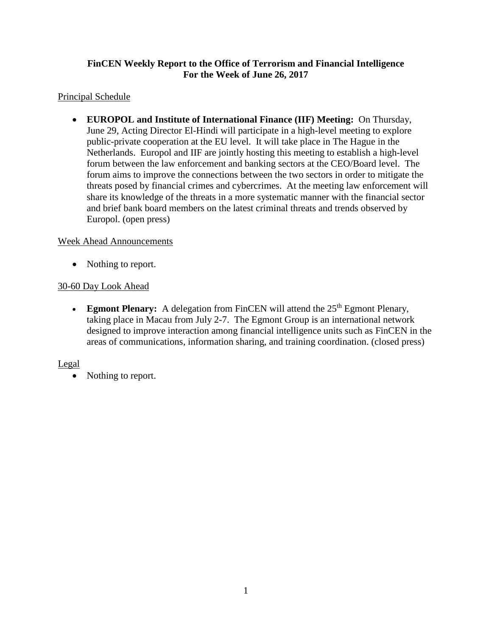# **FinCEN Weekly Report to the Office of Terrorism and Financial Intelligence For the Week of June 26, 2017**

# Principal Schedule

• **EUROPOL and Institute of International Finance (IIF) Meeting:** On Thursday, June 29, Acting Director El-Hindi will participate in a high-level meeting to explore public-private cooperation at the EU level. It will take place in The Hague in the Netherlands. Europol and IIF are jointly hosting this meeting to establish a high-level forum between the law enforcement and banking sectors at the CEO/Board level. The forum aims to improve the connections between the two sectors in order to mitigate the threats posed by financial crimes and cybercrimes. At the meeting law enforcement will share its knowledge of the threats in a more systematic manner with the financial sector and brief bank board members on the latest criminal threats and trends observed by Europol. (open press)

# Week Ahead Announcements

• Nothing to report.

# 30-60 Day Look Ahead

• **Egmont Plenary:** A delegation from FinCEN will attend the 25<sup>th</sup> Egmont Plenary, taking place in Macau from July 2-7. The Egmont Group is an international network designed to improve interaction among financial intelligence units such as FinCEN in the areas of communications, information sharing, and training coordination. (closed press)

# Legal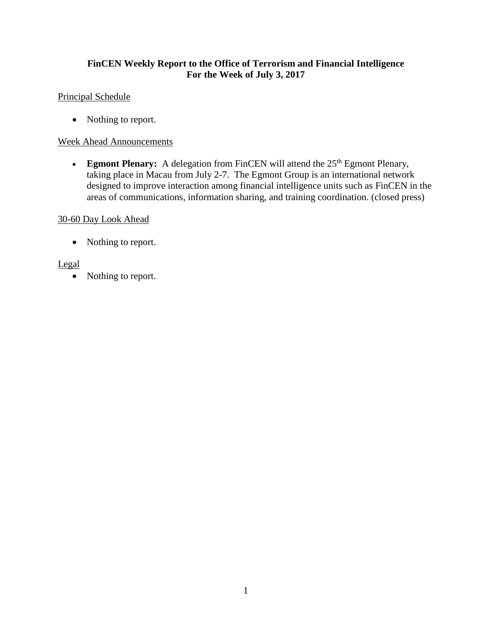# **FinCEN Weekly Report to the Office of Terrorism and Financial Intelligence For the Week of July 3, 2017**

# Principal Schedule

• Nothing to report.

#### Week Ahead Announcements

• **Egmont Plenary:** A delegation from FinCEN will attend the 25<sup>th</sup> Egmont Plenary, taking place in Macau from July 2-7. The Egmont Group is an international network designed to improve interaction among financial intelligence units such as FinCEN in the areas of communications, information sharing, and training coordination. (closed press)

#### 30-60 Day Look Ahead

• Nothing to report.

#### Legal